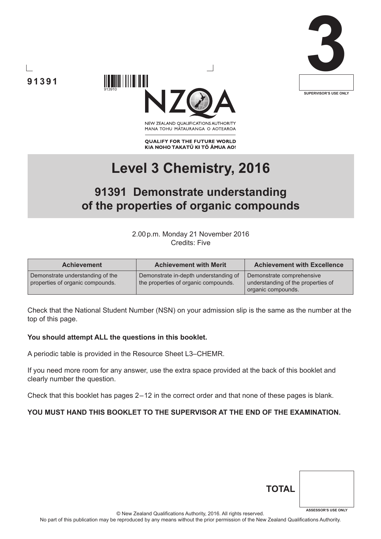





NEW ZEALAND OUALIFICATIONS AUTHORITY MANA TOHU MĀTAURANGA O AOTEAROA

**QUALIFY FOR THE FUTURE WORLD** KIA NOHO TAKATŪ KI TŌ ĀMUA AO!

# **Level 3 Chemistry, 2016**

## **91391 Demonstrate understanding of the properties of organic compounds**

2.00p.m. Monday 21 November 2016 Credits: Five

| <b>Achievement</b>                                                   | <b>Achievement with Merit</b>                                                 | <b>Achievement with Excellence</b>                                                    |
|----------------------------------------------------------------------|-------------------------------------------------------------------------------|---------------------------------------------------------------------------------------|
| Demonstrate understanding of the<br>properties of organic compounds. | Demonstrate in-depth understanding of<br>the properties of organic compounds. | Demonstrate comprehensive<br>understanding of the properties of<br>organic compounds. |

Check that the National Student Number (NSN) on your admission slip is the same as the number at the top of this page.

#### **You should attempt ALL the questions in this booklet.**

A periodic table is provided in the Resource Sheet L3–CHEMR.

If you need more room for any answer, use the extra space provided at the back of this booklet and clearly number the question.

Check that this booklet has pages 2 – 12 in the correct order and that none of these pages is blank.

#### **YOU MUST HAND THIS BOOKLET TO THE SUPERVISOR AT THE END OF THE EXAMINATION.**

| <b>TOTAL</b> |                            |
|--------------|----------------------------|
|              | <b>ASSESSOR'S USE ONLY</b> |

© New Zealand Qualifications Authority, 2016. All rights reserved.

No part of this publication may be reproduced by any means without the prior permission of the New Zealand Qualifications Authority.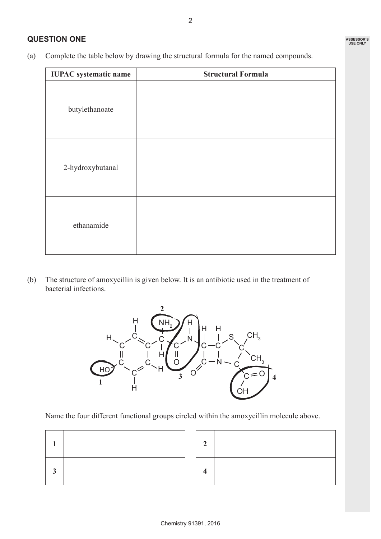### **QUESTION ONE**

(a) Complete the table below by drawing the structural formula for the named compounds.

| <b>IUPAC</b> systematic name | <b>Structural Formula</b> |
|------------------------------|---------------------------|
| butylethanoate               |                           |
| 2-hydroxybutanal             |                           |
| ethanamide                   |                           |

(b) The structure of amoxycillin is given below. It is an antibiotic used in the treatment of bacterial infections.



Name the four different functional groups circled within the amoxycillin molecule above.

|   |  | $\overline{2}$ |
|---|--|----------------|
| З |  | 4              |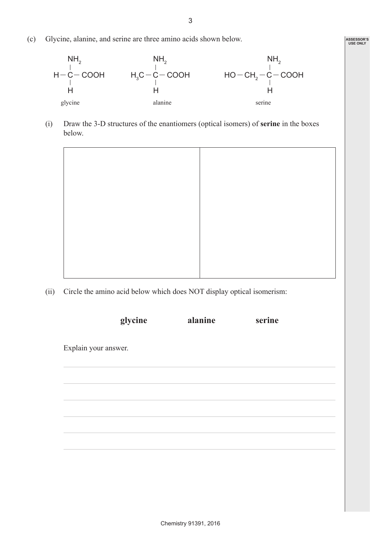(c) Glycine, alanine, and serine are three amino acids shown below.



(i) Draw the 3-D structures of the enantiomers (optical isomers) of **serine** in the boxes below.



(ii) Circle the amino acid below which does NOT display optical isomerism:

| glycine              | alanine | serine |  |
|----------------------|---------|--------|--|
| Explain your answer. |         |        |  |
|                      |         |        |  |
|                      |         |        |  |
|                      |         |        |  |
|                      |         |        |  |
|                      |         |        |  |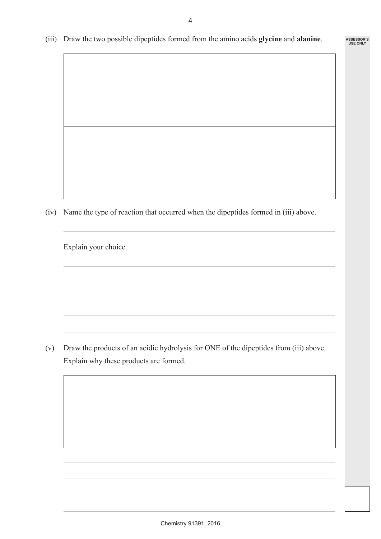(iii) Draw the two possible dipeptides formed from the amino acids **glycine** and **alanine**.

**ASSESSOR'S USE ONLY**

(iv) Name the type of reaction that occurred when the dipeptides formed in (iii) above.

Explain your choice.

(v) Draw the products of an acidic hydrolysis for ONE of the dipeptides from (iii) above. Explain why these products are formed.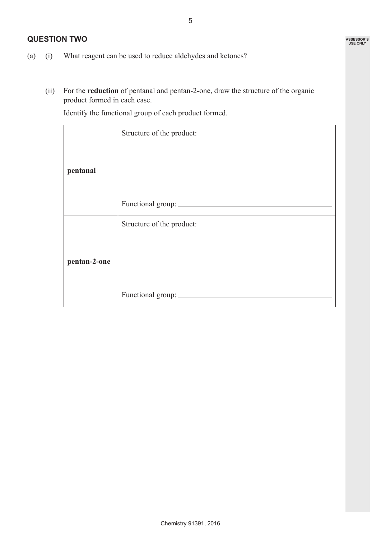#### **QUESTION TWO**

- (a) (i) What reagent can be used to reduce aldehydes and ketones?
	- (ii) For the **reduction** of pentanal and pentan-2-one, draw the structure of the organic product formed in each case.

Identify the functional group of each product formed.

|              | Structure of the product: |
|--------------|---------------------------|
|              |                           |
| pentanal     |                           |
|              |                           |
|              | Functional group:         |
|              | Structure of the product: |
|              |                           |
| pentan-2-one |                           |
|              |                           |
|              | Functional group:         |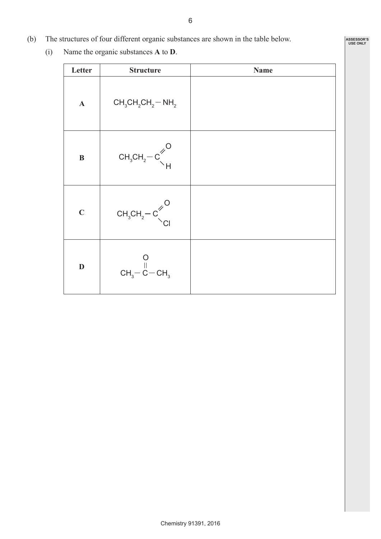- 6
- (b) The structures of four different organic substances are shown in the table below.
	- (i) Name the organic substances **A** to **D**.

| Letter       | <b>Structure</b>                                                                                                      | <b>Name</b> |
|--------------|-----------------------------------------------------------------------------------------------------------------------|-------------|
| $\mathbf{A}$ | $CH_3CH_2CH_2-NH_2$                                                                                                   |             |
| $\, {\bf B}$ | $\text{CH}_{\scriptscriptstyle{3}}\text{CH}_{\scriptscriptstyle{2}}\text{--C}^{\not\sim\text{O}}_{\diagdown\text{H}}$ |             |
| $\mathbf C$  | $CH3CH2-C$ <sup>O</sup>                                                                                               |             |
| $\mathbf D$  | $CH_3-C-CH_3$                                                                                                         |             |

**ASSESSOR'S USE ONLY**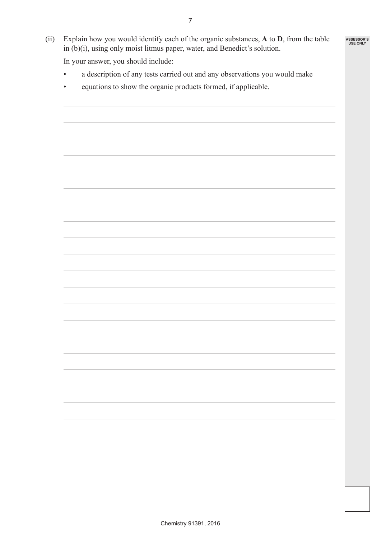(ii) Explain how you would identify each of the organic substances, **A** to **D**, from the table in (b)(i), using only moist litmus paper, water, and Benedict's solution.

**ASSESSOR'S USE ONLY**

In your answer, you should include:

- a description of any tests carried out and any observations you would make
- equations to show the organic products formed, if applicable.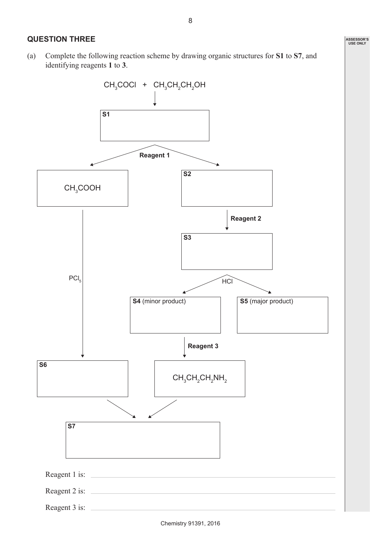(a) Complete the following reaction scheme by drawing organic structures for **S1** to **S7**, and identifying reagents **1** to **3**.



**ASSESSOR'S USE ONLY**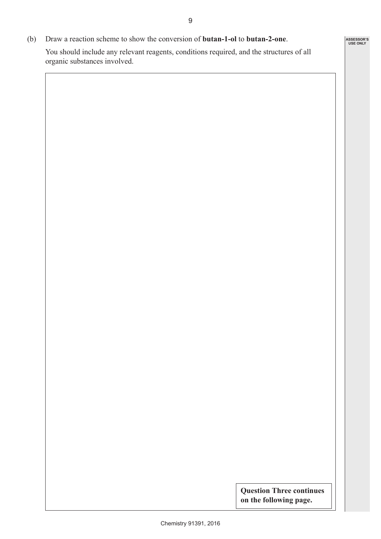(b) Draw a reaction scheme to show the conversion of **butan-1-ol** to **butan-2-one**. You should include any relevant reagents, conditions required, and the structures of all organic substances involved.

> **Question Three continues on the following page.**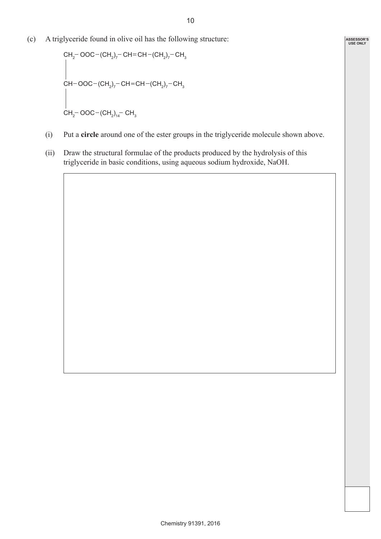(c) A triglyceride found in olive oil has the following structure:

$$
CH_{2} - OOC - (CH_{2})_{7} - CH = CH - (CH_{2})_{7} - CH_{3}
$$
\n
$$
CH - OOC - (CH_{2})_{7} - CH = CH - (CH_{2})_{7} - CH_{3}
$$
\n
$$
CH_{2} - OOC - (CH_{2})_{14} - CH_{3}
$$

- (i) Put a **circle** around one of the ester groups in the triglyceride molecule shown above.
- (ii) Draw the structural formulae of the products produced by the hydrolysis of this triglyceride in basic conditions, using aqueous sodium hydroxide, NaOH.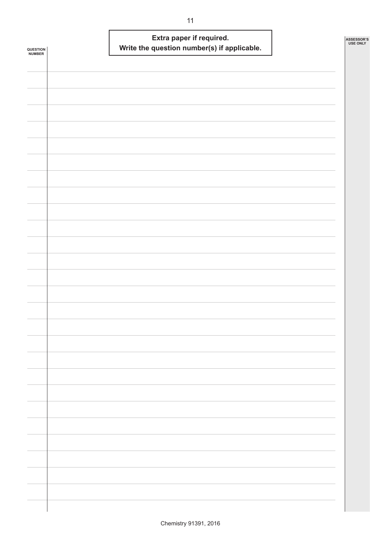|                            | Extra paper if required.                    | ASSESSOR'S<br><b>USE ONLY</b> |
|----------------------------|---------------------------------------------|-------------------------------|
| <b>QUESTION<br/>NUMBER</b> | Write the question number(s) if applicable. |                               |
|                            |                                             |                               |
|                            |                                             |                               |
|                            |                                             |                               |
|                            |                                             |                               |
|                            |                                             |                               |
|                            |                                             |                               |
|                            |                                             |                               |
|                            |                                             |                               |
|                            |                                             |                               |
|                            |                                             |                               |
|                            |                                             |                               |
|                            |                                             |                               |
|                            |                                             |                               |
|                            |                                             |                               |
|                            |                                             |                               |
|                            |                                             |                               |
|                            |                                             |                               |
|                            |                                             |                               |
|                            |                                             |                               |
|                            |                                             |                               |
|                            |                                             |                               |
|                            |                                             |                               |
|                            |                                             |                               |
|                            |                                             |                               |
|                            |                                             |                               |
|                            |                                             |                               |
|                            |                                             |                               |